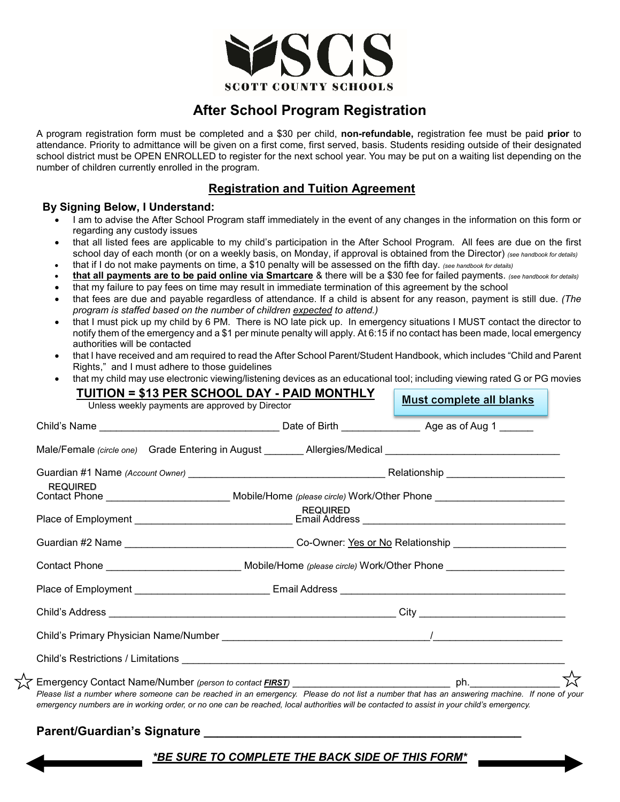

# **After School Program Registration**

A program registration form must be completed and a \$30 per child, **non-refundable,** registration fee must be paid **prior** to attendance. Priority to admittance will be given on a first come, first served, basis. Students residing outside of their designated school district must be OPEN ENROLLED to register for the next school year. You may be put on a waiting list depending on the number of children currently enrolled in the program.

## **Registration and Tuition Agreement**

### **By Signing Below, I Understand:**

- I am to advise the After School Program staff immediately in the event of any changes in the information on this form or regarding any custody issues
- that all listed fees are applicable to my child's participation in the After School Program. All fees are due on the first school day of each month (or on a weekly basis, on Monday, if approval is obtained from the Director) *(see handbook for details)*
- that if I do not make payments on time, a \$10 penalty will be assessed on the fifth day. *(see handbook for details)* • **that all payments are to be paid online via Smartcare** & there will be a \$30 fee for failed payments. *(see handbook for details)*
- that my failure to pay fees on time may result in immediate termination of this agreement by the school
- that fees are due and payable regardless of attendance. If a child is absent for any reason, payment is still due. *(The program is staffed based on the number of children expected to attend.)*
- that I must pick up my child by 6 PM. There is NO late pick up. In emergency situations I MUST contact the director to notify them of the emergency and a \$1 per minute penalty will apply. At 6:15 if no contact has been made, local emergency authorities will be contacted
- that I have received and am required to read the After School Parent/Student Handbook, which includes "Child and Parent Rights," and I must adhere to those guidelines
- that my child may use electronic viewing/listening devices as an educational tool; including viewing rated G or PG movies

| <u> TUITION = \$13 PER SCHOOL DAY - PAID MONTHLY</u><br><b>Must complete all blanks</b><br>Unless weekly payments are approved by Director                                                                                                                                                  |                 |  |
|---------------------------------------------------------------------------------------------------------------------------------------------------------------------------------------------------------------------------------------------------------------------------------------------|-----------------|--|
|                                                                                                                                                                                                                                                                                             |                 |  |
| Male/Female (circle one) Grade Entering in August ________ Allergies/Medical _________________________________                                                                                                                                                                              |                 |  |
|                                                                                                                                                                                                                                                                                             |                 |  |
| <b>REQUIRED</b><br>Contact Phone _________________________________Mobile/Home (please circle) Work/Other Phone _______________________                                                                                                                                                      |                 |  |
|                                                                                                                                                                                                                                                                                             | <b>REQUIRED</b> |  |
| Guardian #2 Name ___________________________________Co-Owner: <u>Yes or No</u> Relationship _______________________                                                                                                                                                                         |                 |  |
|                                                                                                                                                                                                                                                                                             |                 |  |
|                                                                                                                                                                                                                                                                                             |                 |  |
|                                                                                                                                                                                                                                                                                             |                 |  |
|                                                                                                                                                                                                                                                                                             |                 |  |
|                                                                                                                                                                                                                                                                                             |                 |  |
| Please list a number where someone can be reached in an emergency. Please do not list a number that has an answering machine. If none of your<br>emergency numbers are in working order, or no one can be reached, local authorities will be contacted to assist in your child's emergency. |                 |  |

### **Parent/Guardian's Signature \_\_\_\_\_\_\_\_\_\_\_\_\_\_\_\_\_\_\_\_\_\_\_\_\_\_\_\_\_\_\_\_\_\_\_\_\_\_\_\_\_\_\_\_\_\_\_**

╳

### *\*BE SURE TO COMPLETE THE BACK SIDE OF THIS FORM\**